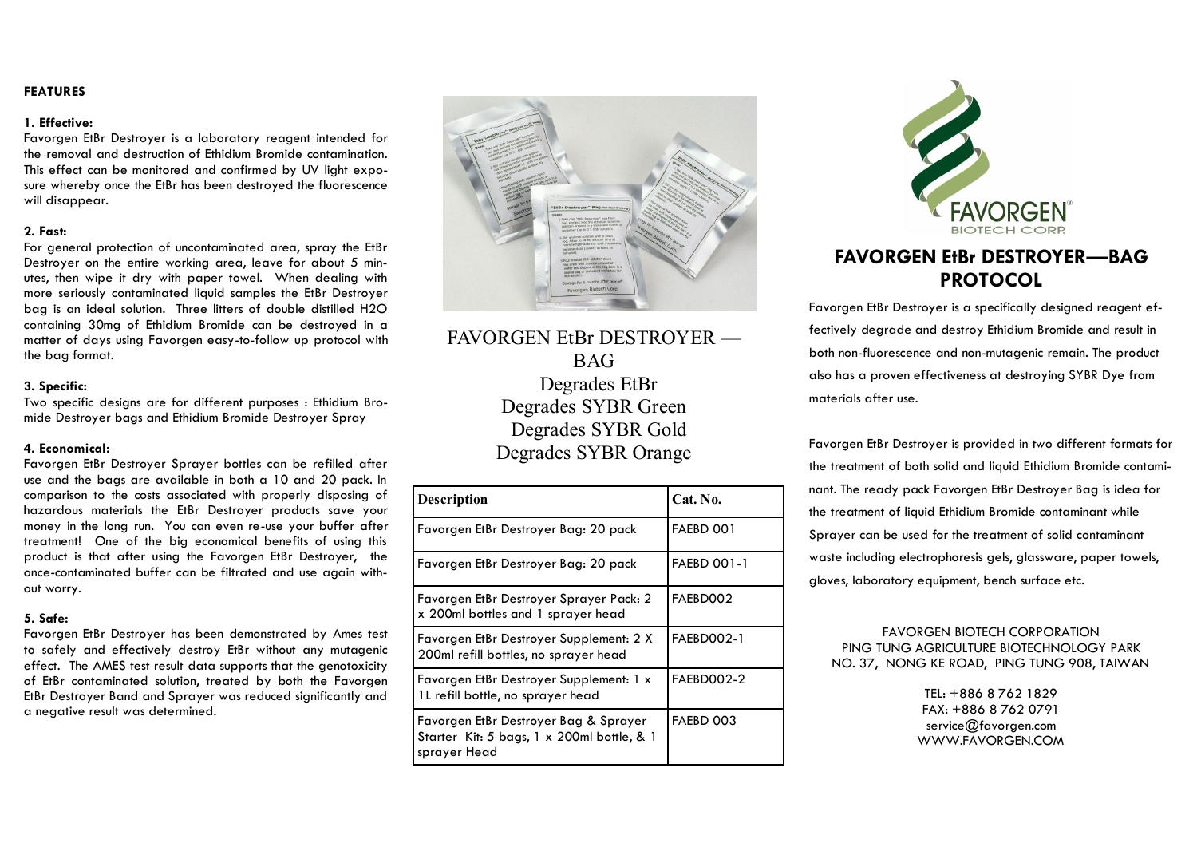# **FEATURES**

### **1. Effective:**

Favorgen EtBr Destroyer is a laboratory reagent intended for the removal and destruction of Ethidium Bromide contamination. This effect can be monitored and confirmed by UV light exposure whereby once the EtBr has been destroyed the fluorescence will disappear.

# **2. Fast:**

For general protection of uncontaminated area, spray the EtBr Destroyer on the entire working area, leave for about 5 minutes, then wipe it dry with paper towel. When dealing with more seriously contaminated liquid samples the EtBr Destroyer bag is an ideal solution. Three litters of double distilled H2O containing 30mg of Ethidium Bromide can be destroyed in a matter of days using Favorgen easy-to-follow up protocol with the bag format.

# **3. Specific:**

Two specific designs are for different purposes : Ethidium Bromide Destroyer bags and Ethidium Bromide Destroyer Spray

### **4. Economical:**

Favorgen EtBr Destroyer Sprayer bottles can be refilled after use and the bags are available in both a 10 and 20 pack. In comparison to the costs associated with properly disposing of hazardous materials the EtBr Destroyer products save your money in the long run. You can even re-use your buffer after treatment! One of the big economical benefits of using this product is that after using the Favorgen EtBr Destroyer, the once-contaminated buffer can be filtrated and use again without worry.

### **5. Safe:**

Favorgen EtBr Destroyer has been demonstrated by Ames test to safely and effectively destroy EtBr without any mutagenic effect. The AMES test result data supports that the genotoxicity of EtBr contaminated solution, treated by both the Favorgen EtBr Destroyer Band and Sprayer was reduced significantly and a negative result was determined.



FAVORGEN EtBr DESTROYER — BAG Degrades EtBr Degrades SYBR Green Degrades SYBR Gold Degrades SYBR Orange

| <b>Description</b>                                                                                  | Cat. No.           |
|-----------------------------------------------------------------------------------------------------|--------------------|
| Favorgen EtBr Destroyer Bag: 20 pack                                                                | FAEBD 001          |
| Favorgen EtBr Destroyer Bag: 20 pack                                                                | <b>FAEBD 001-1</b> |
| Favorgen EtBr Destroyer Sprayer Pack: 2<br>x 200ml bottles and 1 sprayer head                       | FAEBD002           |
| Favorgen EtBr Destroyer Supplement: 2 X<br>200ml refill bottles, no sprayer head                    | <b>FAEBD002-1</b>  |
| Favorgen EtBr Destroyer Supplement: 1 x<br>1L refill bottle, no sprayer head                        | FAEBD002-2         |
| Favorgen EtBr Destroyer Bag & Sprayer<br>Starter Kit: 5 bags, 1 x 200ml bottle, & 1<br>sprayer Head | FAEBD 003          |



# **FAVORGEN EtBr DESTROYER—BAG PROTOCOL**

Favorgen EtBr Destroyer is a specifically designed reagent effectively degrade and destroy Ethidium Bromide and result in both non-fluorescence and non-mutagenic remain. The product also has a proven effectiveness at destroying SYBR Dye from materials after use.

Favorgen EtBr Destroyer is provided in two different formats for the treatment of both solid and liquid Ethidium Bromide contaminant. The ready pack Favorgen EtBr Destroyer Bag is idea for the treatment of liquid Ethidium Bromide contaminant while Sprayer can be used for the treatment of solid contaminant waste including electrophoresis gels, glassware, paper towels, gloves, laboratory equipment, bench surface etc.

# FAVORGEN BIOTECH CORPORATION PING TUNG AGRICULTURE BIOTECHNOLOGY PARK NO. 37, NONG KE ROAD, PING TUNG 908, TAIWAN

TEL: +886 8 762 1829 FAX: +886 8 762 0791 service@favorgen.com WWW.FAVORGEN.COM